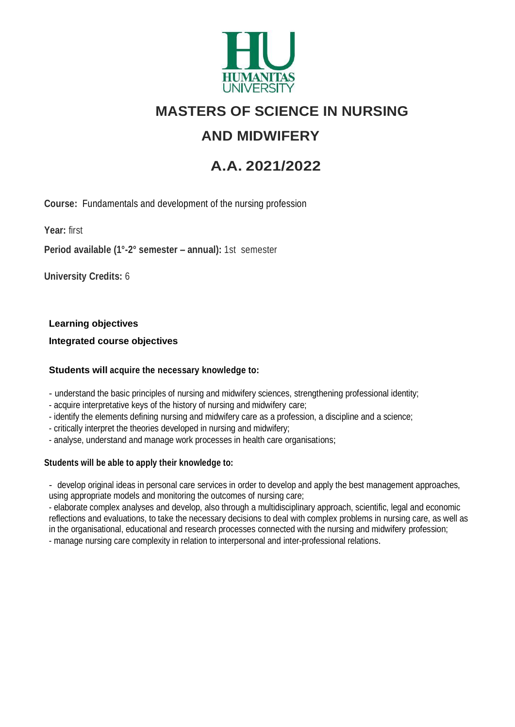

# **MASTERS OF SCIENCE IN NURSING**

## **AND MIDWIFERY**

# **A.A. 2021/2022**

**Course:** Fundamentals and development of the nursing profession

**Year:** first

**Period available (1°-2° semester – annual):** 1st semester

**University Credits:** 6

**Learning objectives**

**Integrated course objectives**

#### **Students will acquire the necessary knowledge to:**

- understand the basic principles of nursing and midwifery sciences, strengthening professional identity;

- acquire interpretative keys of the history of nursing and midwifery care;
- identify the elements defining nursing and midwifery care as a profession, a discipline and a science;
- critically interpret the theories developed in nursing and midwifery;
- analyse, understand and manage work processes in health care organisations;

#### **Students will be able to apply their knowledge to:**

- develop original ideas in personal care services in order to develop and apply the best management approaches, using appropriate models and monitoring the outcomes of nursing care;

- elaborate complex analyses and develop, also through a multidisciplinary approach, scientific, legal and economic reflections and evaluations, to take the necessary decisions to deal with complex problems in nursing care, as well as in the organisational, educational and research processes connected with the nursing and midwifery profession; - manage nursing care complexity in relation to interpersonal and inter-professional relations.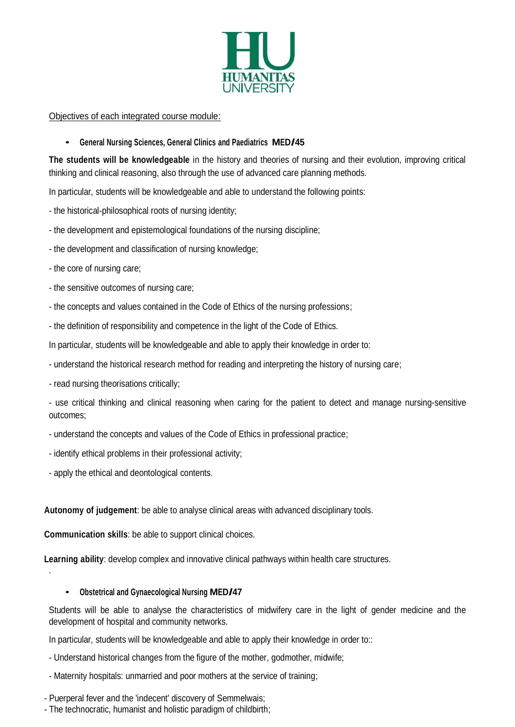

Objectives of each integrated course module:

#### • **General Nursing Sciences, General Clinics and Paediatrics MED/45**

**The students will be knowledgeable** in the history and theories of nursing and their evolution, improving critical thinking and clinical reasoning, also through the use of advanced care planning methods.

In particular, students will be knowledgeable and able to understand the following points:

- the historical-philosophical roots of nursing identity;
- the development and epistemological foundations of the nursing discipline;
- the development and classification of nursing knowledge;
- the core of nursing care;
- the sensitive outcomes of nursing care;
- the concepts and values contained in the Code of Ethics of the nursing professions;
- the definition of responsibility and competence in the light of the Code of Ethics.

In particular, students will be knowledgeable and able to apply their knowledge in order to:

- understand the historical research method for reading and interpreting the history of nursing care;
- read nursing theorisations critically;

- use critical thinking and clinical reasoning when caring for the patient to detect and manage nursing-sensitive outcomes;

- understand the concepts and values of the Code of Ethics in professional practice;
- identify ethical problems in their professional activity;
- apply the ethical and deontological contents.

.

**Autonomy of judgement**: be able to analyse clinical areas with advanced disciplinary tools.

**Communication skills**: be able to support clinical choices.

**Learning ability**: develop complex and innovative clinical pathways within health care structures.

#### • **Obstetrical and Gynaecological Nursing MED/47**

Students will be able to analyse the characteristics of midwifery care in the light of gender medicine and the development of hospital and community networks.

In particular, students will be knowledgeable and able to apply their knowledge in order to::

- Understand historical changes from the figure of the mother, godmother, midwife;
- Maternity hospitals: unmarried and poor mothers at the service of training;

- Puerperal fever and the 'indecent' discovery of Semmelwais;

- The technocratic, humanist and holistic paradigm of childbirth;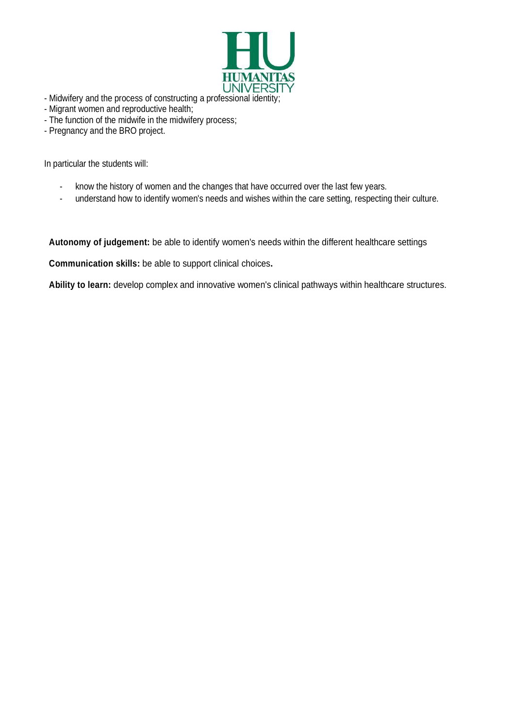

- Midwifery and the process of constructing a professional identity;
- Migrant women and reproductive health;
- The function of the midwife in the midwifery process;
- Pregnancy and the BRO project.

In particular the students will:

- know the history of women and the changes that have occurred over the last few years.
- understand how to identify women's needs and wishes within the care setting, respecting their culture.

**Autonomy of judgement:** be able to identify women's needs within the different healthcare settings

**Communication skills:** be able to support clinical choices**.**

**Ability to learn:** develop complex and innovative women's clinical pathways within healthcare structures.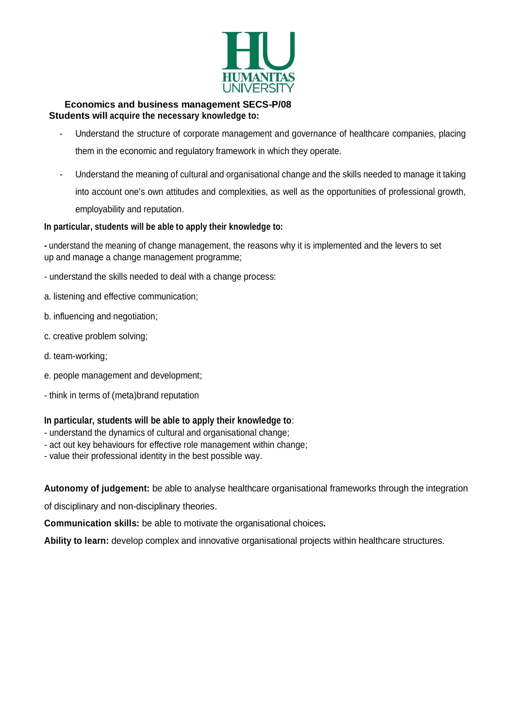

#### **Economics and business management SECS-P/08 Students will acquire the necessary knowledge to:**

- Understand the structure of corporate management and governance of healthcare companies, placing them in the economic and regulatory framework in which they operate.
- Understand the meaning of cultural and organisational change and the skills needed to manage it taking into account one's own attitudes and complexities, as well as the opportunities of professional growth, employability and reputation.

#### **In particular, students will be able to apply their knowledge to:**

**-** understand the meaning of change management, the reasons why it is implemented and the levers to set up and manage a change management programme;

- understand the skills needed to deal with a change process:

- a. listening and effective communication;
- b. influencing and negotiation;
- c. creative problem solving;
- d. team-working;
- e. people management and development;
- think in terms of (meta)brand reputation

#### **In particular, students will be able to apply their knowledge to**:

- understand the dynamics of cultural and organisational change;
- act out key behaviours for effective role management within change;
- value their professional identity in the best possible way.

**Autonomy of judgement:** be able to analyse healthcare organisational frameworks through the integration

of disciplinary and non-disciplinary theories.

**Communication skills:** be able to motivate the organisational choices**.**

**Ability to learn:** develop complex and innovative organisational projects within healthcare structures.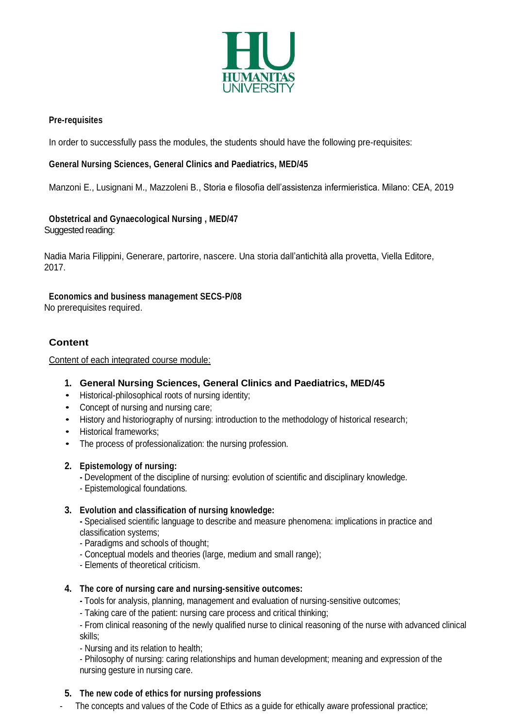

#### **Pre-requisites**

In order to successfully pass the modules, the students should have the following pre-requisites:

#### **General Nursing Sciences, General Clinics and Paediatrics, MED/45**

Manzoni E., Lusignani M., Mazzoleni B., Storia e filosofia dell'assistenza infermieristica. Milano: CEA, 2019

### **Obstetrical and Gynaecological Nursing , MED/47**

Suggested reading:

Nadia Maria Filippini, Generare, partorire, nascere. Una storia dall'antichità alla provetta, Viella Editore, 2017.

**Economics and business management SECS-P/08**

No prerequisites required.

#### **Content**

Content of each integrated course module:

- **1. General Nursing Sciences, General Clinics and Paediatrics, MED/45**
- Historical-philosophical roots of nursing identity;
- Concept of nursing and nursing care;
- History and historiography of nursing: introduction to the methodology of historical research;
- Historical frameworks;
- The process of professionalization: the nursing profession.

#### **2. Epistemology of nursing:**

- **-** Development of the discipline of nursing: evolution of scientific and disciplinary knowledge.
- Epistemological foundations.

#### **3. Evolution and classification of nursing knowledge:**

- **-** Specialised scientific language to describe and measure phenomena: implications in practice and classification systems;
- Paradigms and schools of thought;
- Conceptual models and theories (large, medium and small range);
- Elements of theoretical criticism.

#### **4. The core of nursing care and nursing-sensitive outcomes:**

**-** Tools for analysis, planning, management and evaluation of nursing-sensitive outcomes;

- Taking care of the patient: nursing care process and critical thinking;

- From clinical reasoning of the newly qualified nurse to clinical reasoning of the nurse with advanced clinical skills;

- Nursing and its relation to health;

- Philosophy of nursing: caring relationships and human development; meaning and expression of the nursing gesture in nursing care.

#### **5. The new code of ethics for nursing professions**

- The concepts and values of the Code of Ethics as a guide for ethically aware professional practice;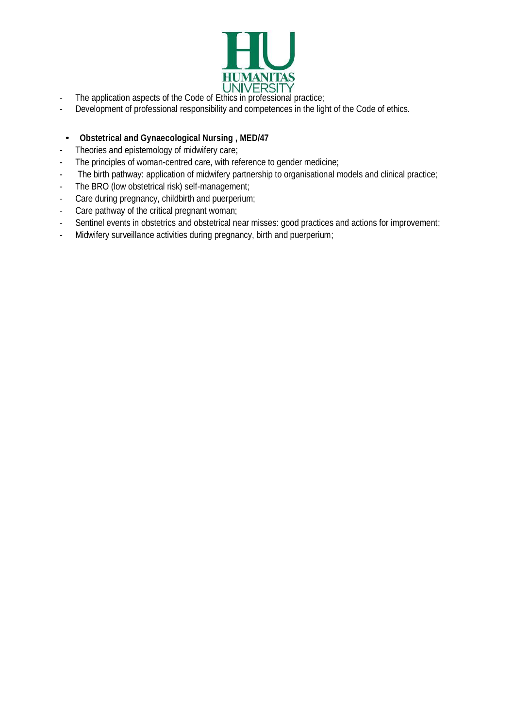

- The application aspects of the Code of Ethics in professional practice;
- Development of professional responsibility and competences in the light of the Code of ethics.
	- **Obstetrical and Gynaecological Nursing , MED/47**
- Theories and epistemology of midwifery care;
- The principles of woman-centred care, with reference to gender medicine;
- The birth pathway: application of midwifery partnership to organisational models and clinical practice;
- The BRO (low obstetrical risk) self-management;
- Care during pregnancy, childbirth and puerperium;
- Care pathway of the critical pregnant woman;
- Sentinel events in obstetrics and obstetrical near misses: good practices and actions for improvement;
- Midwifery surveillance activities during pregnancy, birth and puerperium;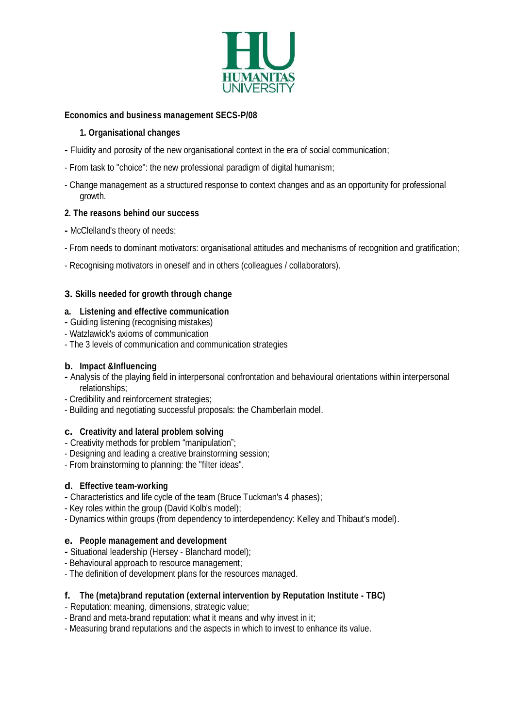

#### **Economics and business management SECS-P/08**

#### **1. Organisational changes**

- **-** Fluidity and porosity of the new organisational context in the era of social communication;
- From task to "choice": the new professional paradigm of digital humanism;
- Change management as a structured response to context changes and as an opportunity for professional growth.

#### **2. The reasons behind our success**

- **-** McClelland's theory of needs;
- From needs to dominant motivators: organisational attitudes and mechanisms of recognition and gratification;
- Recognising motivators in oneself and in others (colleagues / collaborators).

#### **3. Skills needed for growth through change**

#### **a. Listening and effective communication**

- **-** Guiding listening (recognising mistakes)
- Watzlawick's axioms of communication
- The 3 levels of communication and communication strategies

#### **b. Impact &Influencing**

- **-** Analysis of the playing field in interpersonal confrontation and behavioural orientations within interpersonal relationships;
- Credibility and reinforcement strategies;
- Building and negotiating successful proposals: the Chamberlain model.

#### **c. Creativity and lateral problem solving**

- Creativity methods for problem "manipulation";
- Designing and leading a creative brainstorming session;
- From brainstorming to planning: the "filter ideas".

#### **d. Effective team-working**

- **-** Characteristics and life cycle of the team (Bruce Tuckman's 4 phases);
- Key roles within the group (David Kolb's model);
- Dynamics within groups (from dependency to interdependency: Kelley and Thibaut's model).

#### **e. People management and development**

- **-** Situational leadership (Hersey Blanchard model);
- Behavioural approach to resource management;
- The definition of development plans for the resources managed.

#### **f. The (meta)brand reputation (external intervention by Reputation Institute - TBC)**

- Reputation: meaning, dimensions, strategic value;
- Brand and meta-brand reputation: what it means and why invest in it;
- Measuring brand reputations and the aspects in which to invest to enhance its value.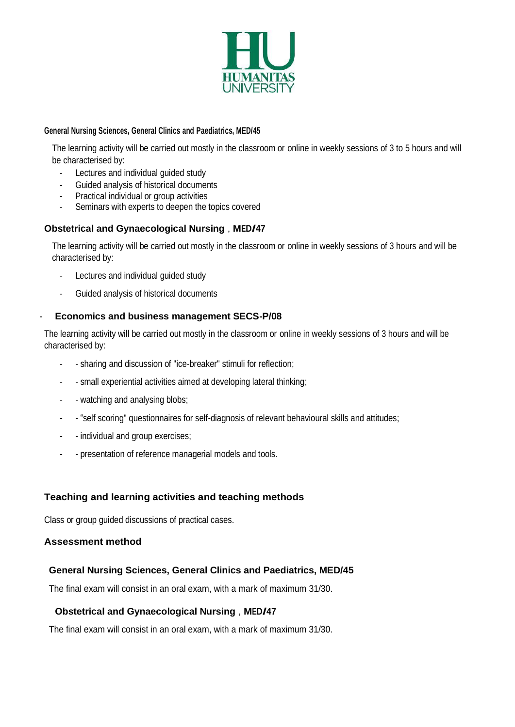

#### **General Nursing Sciences, General Clinics and Paediatrics, MED/45**

The learning activity will be carried out mostly in the classroom or online in weekly sessions of 3 to 5 hours and will be characterised by:

- Lectures and individual guided study
- Guided analysis of historical documents
- Practical individual or group activities
- Seminars with experts to deepen the topics covered

#### **Obstetrical and Gynaecological Nursing** , **MED/47**

The learning activity will be carried out mostly in the classroom or online in weekly sessions of 3 hours and will be characterised by:

- Lectures and individual quided study
- Guided analysis of historical documents

#### - **Economics and business management SECS-P/08**

The learning activity will be carried out mostly in the classroom or online in weekly sessions of 3 hours and will be characterised by:

- - sharing and discussion of "ice-breaker" stimuli for reflection;
- small experiential activities aimed at developing lateral thinking;
- watching and analysing blobs;
- "self scoring" questionnaires for self-diagnosis of relevant behavioural skills and attitudes;
- individual and group exercises;
- presentation of reference managerial models and tools.

#### **Teaching and learning activities and teaching methods**

Class or group guided discussions of practical cases.

#### **Assessment method**

#### **General Nursing Sciences, General Clinics and Paediatrics, MED/45**

The final exam will consist in an oral exam, with a mark of maximum 31/30.

#### **Obstetrical and Gynaecological Nursing** , **MED/47**

The final exam will consist in an oral exam, with a mark of maximum 31/30.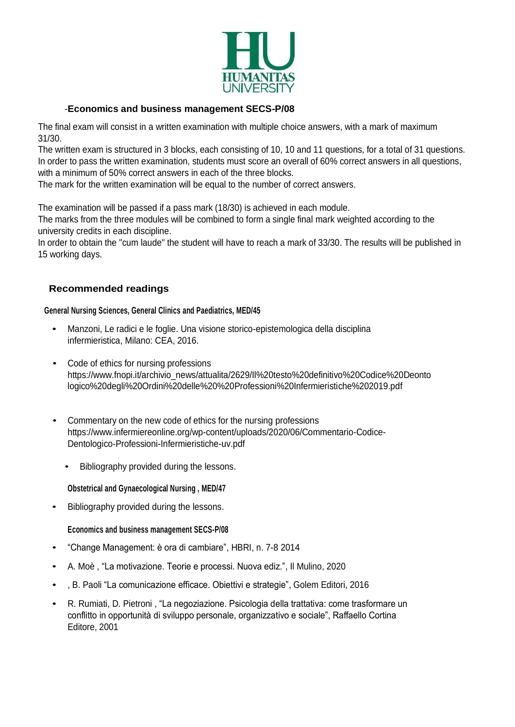

#### -**Economics and business management SECS-P/08**

The final exam will consist in a written examination with multiple choice answers, with a mark of maximum 31/30.

The written exam is structured in 3 blocks, each consisting of 10, 10 and 11 questions, for a total of 31 questions. In order to pass the written examination, students must score an overall of 60% correct answers in all questions, with a minimum of 50% correct answers in each of the three blocks.

The mark for the written examination will be equal to the number of correct answers.

The examination will be passed if a pass mark (18/30) is achieved in each module.

The marks from the three modules will be combined to form a single final mark weighted according to the university credits in each discipline.

In order to obtain the "cum laude" the student will have to reach a mark of 33/30. The results will be published in 15 working days.

#### **Recommended readings**

#### **General Nursing Sciences, General Clinics and Paediatrics, MED/45**

- Manzoni, Le radici e le foglie. Una visione storico-epistemologica della disciplina infermieristica, Milano: CEA, 2016.
- Code of ethics for nursing professions https:/[/www.fnopi.it/archivio\\_news/attualita/2629/Il%20testo%20definitivo%20Codice%20Deonto](http://www.fnopi.it/archivio_news/attualita/2629/Il%20testo%20definitivo%20Codice%20Deonto) logico%20degli%20Ordini%20delle%20%20Professioni%20Infermieristiche%202019.pdf
- Commentary on the new code of ethics for the nursing professions https:/[/www.infermiereonline.org/wp-content/uploads/2020/06/Commentario-Codice-](http://www.infermiereonline.org/wp-content/uploads/2020/06/Commentario-Codice-)Dentologico-Professioni-Infermieristiche-uv.pdf
	- Bibliography provided during the lessons.

#### **Obstetrical and Gynaecological Nursing , MED/47**

• Bibliography provided during the lessons.

#### **Economics and business management SECS-P/08**

- "Change Management: è ora di cambiare", HBRI, n. 7-8 2014
- A. Moè , "La motivazione. Teorie e processi. Nuova ediz.", Il Mulino, 2020
- , B. Paoli "La comunicazione efficace. Obiettivi e strategie", Golem Editori, 2016
- R. Rumiati, D. Pietroni , "La negoziazione. Psicologia della trattativa: come trasformare un conflitto in opportunità di sviluppo personale, organizzativo e sociale", Raffaello Cortina Editore, 2001